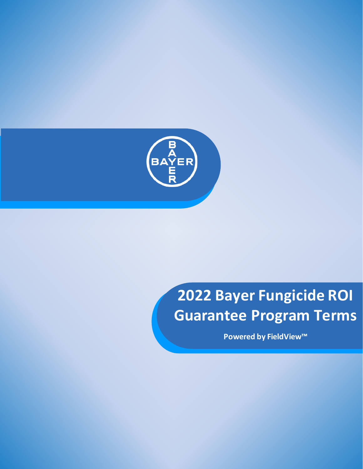

# **2022 Bayer Fungicide ROI Guarantee Program Terms**

**Powered by FieldView™**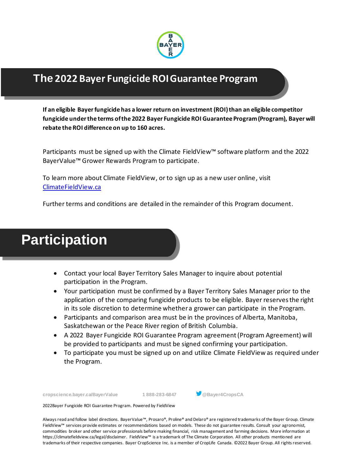

### **The 2022 Bayer Fungicide ROIGuarantee Program**

**If an eligible Bayerfungicide has a lower return on investment (ROI)than an eligible competitor fungicide under the terms ofthe 2022 Bayer FungicideROI Guarantee Program(Program), Bayer will rebate the ROI difference on up to 160 acres.**

Participants must be signed up with the Climate FieldView™ software platform and the 2022 BayerValue™ Grower Rewards Program to participate.

To learn more about Climate FieldView, or to sign up as a new user online, visit [ClimateFieldView.ca](http://www.climatefieldview.ca/)

Further terms and conditions are detailed in the remainder of this Program document.



- Contact your local Bayer Territory Sales Manager to inquire about potential participation in the Program.
- Your participation must be confirmed by a Bayer Territory Sales Manager prior to the application of the comparing fungicide products to be eligible. Bayer reservesthe right in its sole discretion to determine whethera grower can participate in the Program.
- Participants and comparison area must be in the provinces of Alberta, Manitoba, Saskatchewan or the Peace River region of British Columbia.
- A 2022 Bayer Fungicide ROI Guarantee Program agreement(Program Agreement) will be provided to participants and must be signed confirming your participation.
- To participate you must be signed up on and utilize Climate FieldView as required under the Program.

**cropscience.bayer.ca/BayerValue 1 888-283-6847 @Bayer4CropsCA**



2022Bayer Fungicide ROI Guarantee Program. Powered by FieldView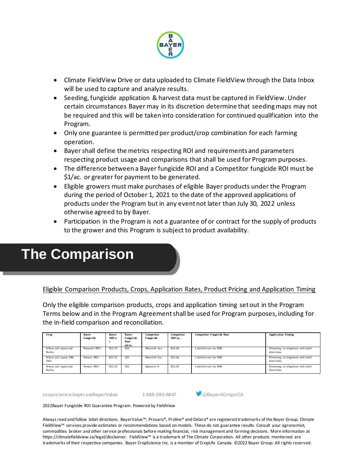

- Climate FieldView Drive or data uploaded to Climate FieldView through the Data Inbox will be used to capture and analyze results.
- Seeding, fungicide application & harvest data must be captured in FieldView.Under certain circumstances Bayer may in its discretion determine that seedingmaps may not be required and this will be taken into consideration for continued qualification into the Program.
- Only one guarantee is permitted per product/crop combination for each farming operation.
- Bayershall define the metrics respecting ROI and requirements and parameters respecting product usage and comparisons that shall be used for Program purposes.
- The difference between a Bayer fungicide ROI and a Competitor fungicide ROI must be \$1/ac. or greater for payment to be generated.
- Eligible growers must make purchases of eligible Bayer products under the Program during the period of October 1, 2021 to the date of the approved applications of products under the Program but in any event not later than July 30, 2022 unless otherwise agreed to by Bayer.
- Participation in the Program is not a guarantee of or contract for the supply of products to the grower and this Program is subject to product availability.

### **The Comparison**

Eligible Comparison Products, Crops, Application Rates, Product Pricing and Application Timing

Only the eligible comparison products, crops and application timing set out in the Program Terms below and in the Program Agreement shall be used for Program purposes, including for the in-field comparison and reconciliation.

| Crop                            | Baver<br>Fungicide       | Baver<br>SRP/a | Baver<br>Fungicide<br>Rate<br>ml/ac. | Competitor<br>Fungicide  | Competitor<br>$SRP/ac$ . | <b>Competitor Fungicide Rate</b> | <b>Application Timing</b>                         |
|---------------------------------|--------------------------|----------------|--------------------------------------|--------------------------|--------------------------|----------------------------------|---------------------------------------------------|
| Wheat (all types) and<br>Barley | Prosaro <sup>®</sup> PRO | \$23.33        | 303                                  | Miravis <sup>®</sup> Ace | \$24.49                  | Labelled rate for FHB            | Flowering, in alignment with label<br>directions. |
| Wheat (all types), MB<br>Only   | Prosaro PRO              | \$23.33        | 303                                  | Miravis <sup>®</sup> Era | \$25.46                  | Labelled rate for FHB            | Flowering, in alignment with label<br>directions. |
| Wheat (all types) and<br>Barley | Prosaro PRO              | \$23.33        | 303                                  | Sphaerex ®               | \$23.05                  | Labelled rate for FHB            | Flowering, in alignment with label<br>directions. |

**cropscience.bayer.ca/BayerValue 1 888-283-6847 @Bayer4CropsCA**



2022Bayer Fungicide ROI Guarantee Program. Powered by FieldView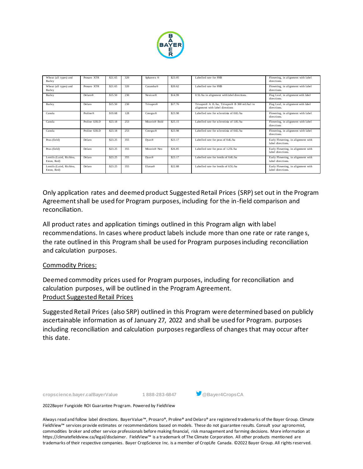

| Wheat (all types) and<br>Barley         | Prosaro XTR          | \$21.65 | 320 | Sphaerex ®                 | \$23.05 | Labelled rate for FHB                                                                                   | Flowering, in alignment with label<br>directions.       |  |
|-----------------------------------------|----------------------|---------|-----|----------------------------|---------|---------------------------------------------------------------------------------------------------------|---------------------------------------------------------|--|
| Wheat (all types) and<br>Barley         | Prosaro XTR          | \$21.65 | 320 | Caramba <sup>®</sup>       | \$20.62 | Labelled rate for FHB                                                                                   | Flowering, in alignment with label<br>directions.       |  |
| Barley                                  | Delaro®              | \$15.50 | 230 | Nexicor®                   | \$14.99 | 0.5L/ha in alignment with label directions.                                                             | Flag Leaf, in alignment with label<br>directions.       |  |
| Barley                                  | Delaro               | \$15.50 | 230 | Trivapro®                  | \$17.76 | Trivapro <sup>®</sup> A 1L/ha, Trivapro <sup>®</sup> B 300 mL/ha1 in<br>alignment with label directions | Flag Leaf, in alignment with label<br>directions.       |  |
| Canola                                  | Proline <sup>®</sup> | \$19.68 | 128 | Cotegra®                   | \$23.98 | Labelled rate for sclerotinia of 0.6L/ha                                                                | Flowering, in alignment with label<br>directions.       |  |
| Canola                                  | Proline GOLD         | \$23.18 | 253 | Miravis <sup>®</sup> Bold  | \$25.15 | Labelled rate for sclerotinia of 1.0L/ha                                                                | Flowering, in alignment with label<br>directions        |  |
| Canola                                  | Proline GOLD         | \$23.18 | 253 | Cotegra®                   | \$23.98 | Labelled rate for sclerotinia of 0.6L/ha                                                                | Flowering, in alignment with label<br>directions.       |  |
| Peas (field)                            | Delaro               | \$23.25 | 355 | Dyax <sup>®</sup>          | \$23.17 | Labelled rate for peas of 0.4L/ha                                                                       | Early Flowering, in alignment with<br>label directions. |  |
| Peas (field)                            | Delaro               | \$23.25 | 355 | Miravis® Neo               | \$26.85 | Labelled rate for peas of 1.25L/ha                                                                      | Early Flowering, in alignment with<br>label directions. |  |
| Lentils (Laird, Richlea,<br>Eston, Red) | Delaro               | \$23.25 | 355 | $D\text{vax}$ <sup>®</sup> | \$23.17 | Labelled rate for lentils of 0.4L/ha                                                                    | Early Flowering, in alignment with<br>label directions. |  |
| Lentils (Laird, Richlea,<br>Eston, Red) | Delaro               | \$23.25 | 355 | Elatus®                    | \$22.88 | Labelled rate for lentils of 0.5L/ha                                                                    | Early Flowering, in alignment with<br>label directions. |  |

Only application rates and deemed product Suggested Retail Prices (SRP)set out in the Program Agreement shall be used for Program purposes, including for the in-field comparison and reconciliation.

All product rates and application timings outlined in this Program align with label recommendations. In cases where product labels include more than one rate or rate range s, the rate outlined in this Program shall be used for Program purposesincluding reconciliation and calculation purposes.

#### Commodity Prices:

Deemed commodity prices used for Program purposes, including for reconciliation and calculation purposes, will be outlined in the Program Agreement. Product Suggested Retail Prices

Suggested Retail Prices (also SRP) outlined in this Program were determined based on publicly ascertainable information as of January 27, 2022 and shall be used for Program. purposes including reconciliation and calculation purposes regardless of changes that may occur after this date.

**cropscience.bayer.ca/BayerValue 1 888-283-6847 @Bayer4CropsCA**



2022Bayer Fungicide ROI Guarantee Program. Powered by FieldView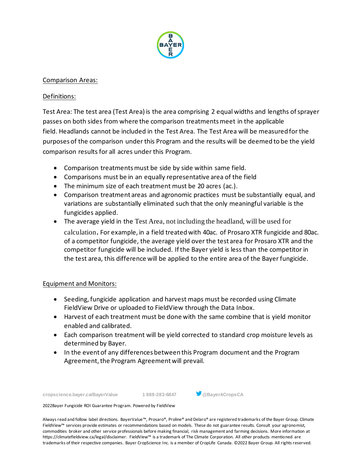

#### Comparison Areas:

#### Definitions:

Test Area: The test area (Test Area) is the area comprising 2 equal widths and lengths of sprayer passes on both sides from where the comparison treatmentsmeet in the applicable field. Headlands cannot be included in the Test Area. The Test Area will be measured for the purposes of the comparison under this Program and the results will be deemed to be the yield comparison results for all acres under this Program.

- Comparison treatments must be side by side within same field.
- Comparisons must be in an equally representative area of the field
- The minimum size of each treatment must be 20 acres (ac.).
- Comparison treatment areas and agronomic practices must be substantially equal, and variations are substantially eliminated such that the only meaningful variable is the fungicides applied.
- The average yield in the Test Area, not including the headland, will be used for

calculation. For example, in a field treatedwith 40ac. of Prosaro XTR fungicide and 80ac. of a competitor fungicide, the average yield over the test area for Prosaro XTR and the competitor fungicide will be included. Ifthe Bayer yield is less than the competitor in the test area, this difference will be applied to the entire area of the Bayer fungicide.

#### Equipment and Monitors:

- Seeding, fungicide application and harvest maps must be recorded using Climate FieldView Drive or uploaded to FieldView through the Data Inbox.
- Harvest of each treatment must be done with the same combine that is yield monitor enabled and calibrated.
- Each comparison treatment will be yield corrected to standard crop moisture levels as determined by Bayer.
- In the event of any differences between this Program document and the Program Agreement, the Program Agreement will prevail.

**cropscience.bayer.ca/BayerValue 1 888-283-6847 @Bayer4CropsCA**



2022Bayer Fungicide ROI Guarantee Program. Powered by FieldView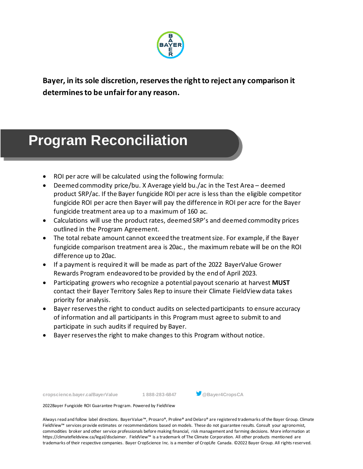

**Bayer, in its sole discretion, reservesthe rightto reject any comparison it determinesto be unfairfor any reason.**

## • Program Reconciliation **Program Reconciliation**

- ROI per acre will be calculated using the following formula:
- Deemed commodity price/bu. X Average yield bu./ac in the Test Area deemed product SRP/ac. If the Bayer fungicide ROI per acre is less than the eligible competitor fungicide ROI per acre then Bayer will pay the difference in ROI per acre for the Bayer fungicide treatment area up to a maximum of 160 ac.
- Calculations will use the product rates, deemed SRP's and deemed commodity prices outlined in the Program Agreement.
- The total rebate amount cannot exceed the treatment size. For example, if the Bayer fungicide comparison treatment area is 20ac., the maximum rebate will be on the ROI difference up to 20ac.
- If a payment is required it will be made as part ofthe 2022 BayerValue Grower Rewards Program endeavored to be provided by the end of April 2023.
- Participating growers who recognize a potential payout scenario at harvest **MUST** contact their Bayer Territory Sales Rep to insure their Climate FieldView data takes priority for analysis.
- Bayer reservesthe right to conduct audits on selected participants to ensure accuracy of information and all participants in this Program must agree to submit to and participate in such audits if required by Bayer.
- Bayer reserves the right to make changes to this Program without notice.

**cropscience.bayer.ca/BayerValue 1 888-283-6847 @Bayer4CropsCA**



2022Bayer Fungicide ROI Guarantee Program. Powered by FieldView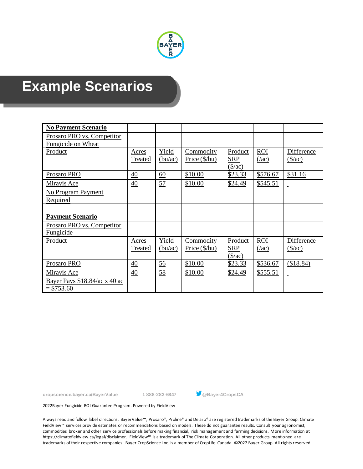

### **Example Scenarios**

| <b>No Payment Scenario</b>                         |                         |                  |                                     |                                                 |                             |                                      |
|----------------------------------------------------|-------------------------|------------------|-------------------------------------|-------------------------------------------------|-----------------------------|--------------------------------------|
| Prosaro PRO vs. Competitor<br>Fungicide on Wheat   |                         |                  |                                     |                                                 |                             |                                      |
| Product                                            | Acres<br>Treated        | Yield<br>(bu/ac) | Commodity<br>Price $(\frac{6}{bu})$ | Product<br><b>SRP</b><br>$(\frac{\sqrt{2}}{2})$ | <b>ROI</b><br>(4ac)         | Difference<br>$(\frac{\pi}{3})$      |
| Prosaro PRO                                        | $\frac{40}{5}$          | $\underline{60}$ | \$10.00                             | \$23.33                                         | \$576.67                    | \$31.16                              |
| Miravis Ace                                        | 40                      | 57               | \$10.00                             | \$24.49                                         | \$545.51                    |                                      |
| No Program Payment<br>Required                     |                         |                  |                                     |                                                 |                             |                                      |
|                                                    |                         |                  |                                     |                                                 |                             |                                      |
| <b>Payment Scenario</b>                            |                         |                  |                                     |                                                 |                             |                                      |
| Prosaro PRO vs. Competitor<br>Fungicide            |                         |                  |                                     |                                                 |                             |                                      |
| Product                                            | Acres<br><b>Treated</b> | Yield<br>(bu/ac) | Commodity<br>Price $(\frac{6}{bu})$ | Product<br><b>SRP</b><br>$(\frac{\sqrt{2}}{2})$ | <b>ROI</b><br>$(\sqrt{ac})$ | Difference<br>$(\frac{\sqrt{2}}{2})$ |
| Prosaro PRO                                        | $\frac{40}{1}$          | $\underline{56}$ | \$10.00                             | \$23.33                                         | \$536.67                    | (\$18.84)                            |
| Miravis Ace                                        | 40                      | 58               | \$10.00                             | \$24.49                                         | \$555.51                    |                                      |
| Bayer Pays $$18.84/ac \times 40$ ac<br>$= $753.60$ |                         |                  |                                     |                                                 |                             |                                      |



2022Bayer Fungicide ROI Guarantee Program. Powered by FieldView